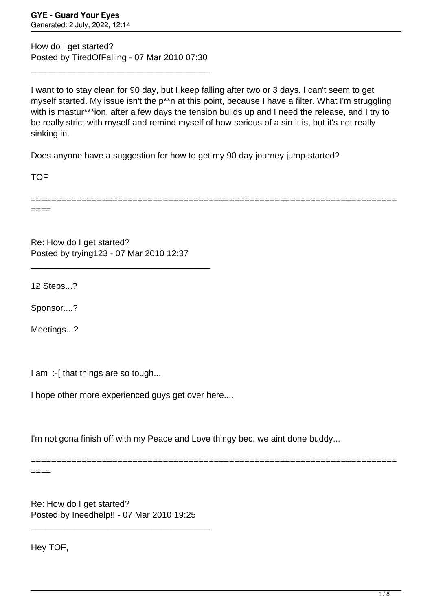How do I get started? Posted by TiredOfFalling - 07 Mar 2010 07:30

\_\_\_\_\_\_\_\_\_\_\_\_\_\_\_\_\_\_\_\_\_\_\_\_\_\_\_\_\_\_\_\_\_\_\_\_\_

I want to to stay clean for 90 day, but I keep falling after two or 3 days. I can't seem to get myself started. My issue isn't the p\*\*n at this point, because I have a filter. What I'm struggling with is mastur\*\*\*ion. after a few days the tension builds up and I need the release, and I try to be really strict with myself and remind myself of how serious of a sin it is, but it's not really sinking in.

Does anyone have a suggestion for how to get my 90 day journey jump-started?

**TOF** 

====

========================================================================

Re: How do I get started? Posted by trying123 - 07 Mar 2010 12:37

\_\_\_\_\_\_\_\_\_\_\_\_\_\_\_\_\_\_\_\_\_\_\_\_\_\_\_\_\_\_\_\_\_\_\_\_\_

12 Steps...?

Sponsor....?

Meetings...?

I am :-[ that things are so tough...

I hope other more experienced guys get over here....

I'm not gona finish off with my Peace and Love thingy bec. we aint done buddy...

========================================================================

====

Re: How do I get started? Posted by Ineedhelp!! - 07 Mar 2010 19:25

\_\_\_\_\_\_\_\_\_\_\_\_\_\_\_\_\_\_\_\_\_\_\_\_\_\_\_\_\_\_\_\_\_\_\_\_\_

Hey TOF,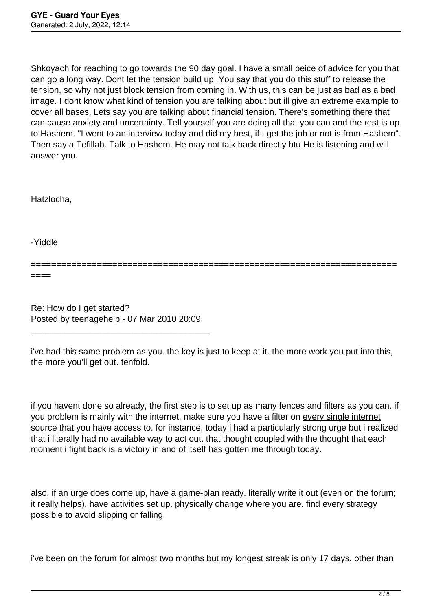Shkoyach for reaching to go towards the 90 day goal. I have a small peice of advice for you that can go a long way. Dont let the tension build up. You say that you do this stuff to release the tension, so why not just block tension from coming in. With us, this can be just as bad as a bad image. I dont know what kind of tension you are talking about but ill give an extreme example to cover all bases. Lets say you are talking about financial tension. There's something there that can cause anxiety and uncertainty. Tell yourself you are doing all that you can and the rest is up to Hashem. "I went to an interview today and did my best, if I get the job or not is from Hashem". Then say a Tefillah. Talk to Hashem. He may not talk back directly btu He is listening and will answer you.

Hatzlocha,

-Yiddle

======================================================================== ====

Re: How do I get started? Posted by teenagehelp - 07 Mar 2010 20:09

\_\_\_\_\_\_\_\_\_\_\_\_\_\_\_\_\_\_\_\_\_\_\_\_\_\_\_\_\_\_\_\_\_\_\_\_\_

i've had this same problem as you. the key is just to keep at it. the more work you put into this, the more you'll get out. tenfold.

if you havent done so already, the first step is to set up as many fences and filters as you can. if you problem is mainly with the internet, make sure you have a filter on every single internet source that you have access to. for instance, today i had a particularly strong urge but i realized that i literally had no available way to act out. that thought coupled with the thought that each moment i fight back is a victory in and of itself has gotten me through today.

also, if an urge does come up, have a game-plan ready. literally write it out (even on the forum; it really helps). have activities set up. physically change where you are. find every strategy possible to avoid slipping or falling.

i've been on the forum for almost two months but my longest streak is only 17 days. other than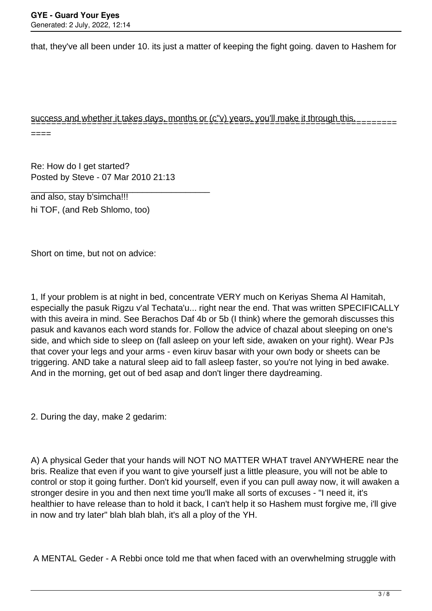that, they've all been under 10. its just a matter of keeping the fight going. daven to Hashem for

## success and whether it takes days, months or (c"v) years, you'll make it through this. ========================================================================

 $----$ 

Re: How do I get started? Posted by Steve - 07 Mar 2010 21:13

\_\_\_\_\_\_\_\_\_\_\_\_\_\_\_\_\_\_\_\_\_\_\_\_\_\_\_\_\_\_\_\_\_\_\_\_\_

and also, stay b'simcha!!! hi TOF, (and Reb Shlomo, too)

Short on time, but not on advice:

1, If your problem is at night in bed, concentrate VERY much on Keriyas Shema Al Hamitah, especially the pasuk Rigzu v'al Techata'u... right near the end. That was written SPECIFICALLY with this aveira in mind. See Berachos Daf 4b or 5b (I think) where the gemorah discusses this pasuk and kavanos each word stands for. Follow the advice of chazal about sleeping on one's side, and which side to sleep on (fall asleep on your left side, awaken on your right). Wear PJs that cover your legs and your arms - even kiruv basar with your own body or sheets can be triggering. AND take a natural sleep aid to fall asleep faster, so you're not lying in bed awake. And in the morning, get out of bed asap and don't linger there daydreaming.

2. During the day, make 2 gedarim:

A) A physical Geder that your hands will NOT NO MATTER WHAT travel ANYWHERE near the bris. Realize that even if you want to give yourself just a little pleasure, you will not be able to control or stop it going further. Don't kid yourself, even if you can pull away now, it will awaken a stronger desire in you and then next time you'll make all sorts of excuses - "I need it, it's healthier to have release than to hold it back, I can't help it so Hashem must forgive me, i'll give in now and try later" blah blah blah, it's all a ploy of the YH.

A MENTAL Geder - A Rebbi once told me that when faced with an overwhelming struggle with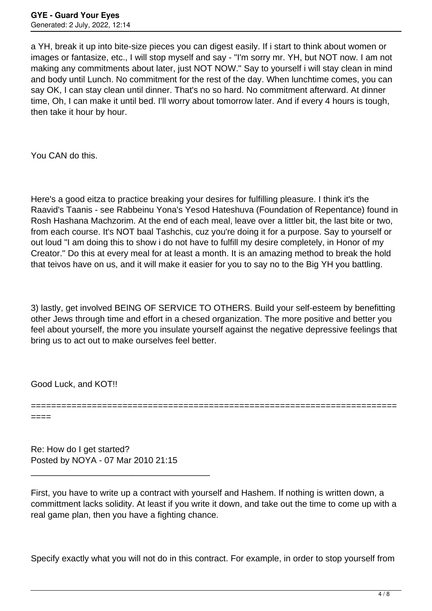a YH, break it up into bite-size pieces you can digest easily. If i start to think about women or images or fantasize, etc., I will stop myself and say - "I'm sorry mr. YH, but NOT now. I am not making any commitments about later, just NOT NOW." Say to yourself i will stay clean in mind and body until Lunch. No commitment for the rest of the day. When lunchtime comes, you can say OK, I can stay clean until dinner. That's no so hard. No commitment afterward. At dinner time, Oh, I can make it until bed. I'll worry about tomorrow later. And if every 4 hours is tough, then take it hour by hour.

You CAN do this.

Here's a good eitza to practice breaking your desires for fulfilling pleasure. I think it's the Raavid's Taanis - see Rabbeinu Yona's Yesod Hateshuva (Foundation of Repentance) found in Rosh Hashana Machzorim. At the end of each meal, leave over a littler bit, the last bite or two, from each course. It's NOT baal Tashchis, cuz you're doing it for a purpose. Say to yourself or out loud "I am doing this to show i do not have to fulfill my desire completely, in Honor of my Creator." Do this at every meal for at least a month. It is an amazing method to break the hold that teivos have on us, and it will make it easier for you to say no to the Big YH you battling.

3) lastly, get involved BEING OF SERVICE TO OTHERS. Build your self-esteem by benefitting other Jews through time and effort in a chesed organization. The more positive and better you feel about yourself, the more you insulate yourself against the negative depressive feelings that bring us to act out to make ourselves feel better.

========================================================================

Good Luck, and KOT!!

====

Re: How do I get started? Posted by NOYA - 07 Mar 2010 21:15

\_\_\_\_\_\_\_\_\_\_\_\_\_\_\_\_\_\_\_\_\_\_\_\_\_\_\_\_\_\_\_\_\_\_\_\_\_

First, you have to write up a contract with yourself and Hashem. If nothing is written down, a committment lacks solidity. At least if you write it down, and take out the time to come up with a real game plan, then you have a fighting chance.

Specify exactly what you will not do in this contract. For example, in order to stop yourself from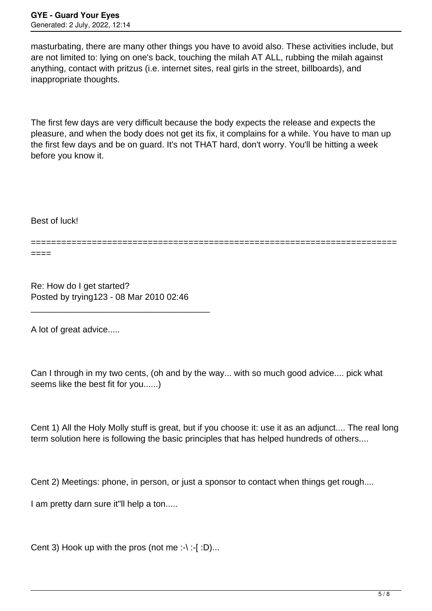masturbating, there are many other things you have to avoid also. These activities include, but are not limited to: lying on one's back, touching the milah AT ALL, rubbing the milah against anything, contact with pritzus (i.e. internet sites, real girls in the street, billboards), and inappropriate thoughts.

The first few days are very difficult because the body expects the release and expects the pleasure, and when the body does not get its fix, it complains for a while. You have to man up the first few days and be on guard. It's not THAT hard, don't worry. You'll be hitting a week before you know it.

Best of luck!

========================================================================

====

Re: How do I get started? Posted by trying123 - 08 Mar 2010 02:46

\_\_\_\_\_\_\_\_\_\_\_\_\_\_\_\_\_\_\_\_\_\_\_\_\_\_\_\_\_\_\_\_\_\_\_\_\_

A lot of great advice.....

Can I through in my two cents, (oh and by the way... with so much good advice.... pick what seems like the best fit for you......)

Cent 1) All the Holy Molly stuff is great, but if you choose it: use it as an adjunct.... The real long term solution here is following the basic principles that has helped hundreds of others....

Cent 2) Meetings: phone, in person, or just a sponsor to contact when things get rough....

I am pretty darn sure it"ll help a ton.....

Cent 3) Hook up with the pros (not me :- $\cdot$ :-[ :D)...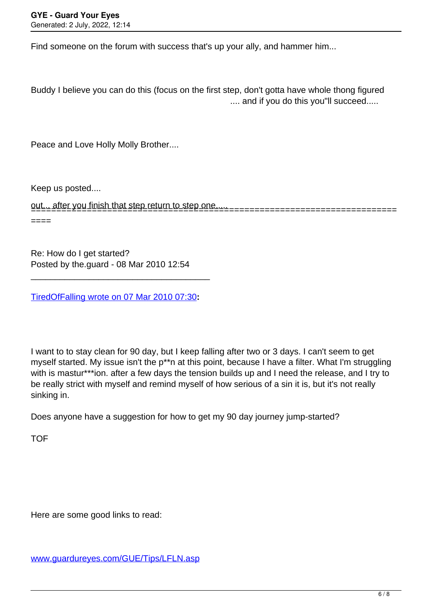Find someone on the forum with success that's up your ally, and hammer him...

Buddy I believe you can do this (focus on the first step, don't gotta have whole thong figured .... and if you do this you"ll succeed.....

Peace and Love Holly Molly Brother....

Keep us posted....

out... after you finish that step return to step one..... ========================================================================

====

Re: How do I get started? Posted by the.guard - 08 Mar 2010 12:54

[TiredOfFalling wrote on 07 Mar 2010 07:30](/forum/id-)**:**

\_\_\_\_\_\_\_\_\_\_\_\_\_\_\_\_\_\_\_\_\_\_\_\_\_\_\_\_\_\_\_\_\_\_\_\_\_

I want to to stay clean for 90 day, but I keep falling after two or 3 days. I can't seem to get myself started. My issue isn't the p\*\*n at this point, because I have a filter. What I'm struggling with is mastur\*\*\*ion. after a few days the tension builds up and I need the release, and I try to be really strict with myself and remind myself of how serious of a sin it is, but it's not really sinking in.

Does anyone have a suggestion for how to get my 90 day journey jump-started?

**TOF** 

Here are some good links to read:

[www.guardureyes.com/GUE/Tips/LFLN.asp](http://www.guardureyes.com/GUE/Tips/LFLN.asp)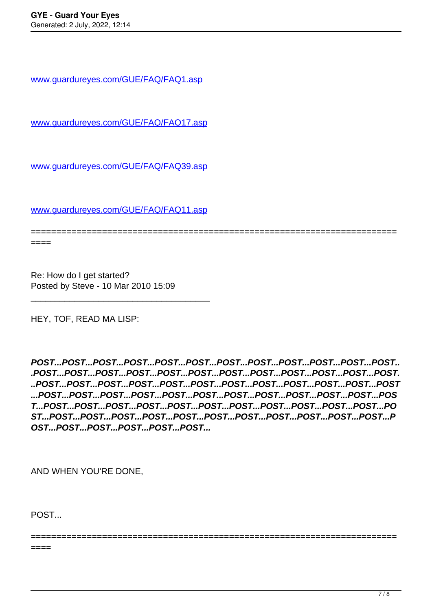[www.guardureyes.com/GUE/FAQ/FAQ1.asp](http://www.guardureyes.com/GUE/FAQ/FAQ1.asp)

[www.guardureyes.com/GUE/FAQ/FAQ17.asp](http://www.guardureyes.com/GUE/FAQ/FAQ17.asp)

[www.guardureyes.com/GUE/FAQ/FAQ39.asp](http://www.guardureyes.com/GUE/FAQ/FAQ39.asp)

[www.guardureyes.com/GUE/FAQ/FAQ11.asp](http://www.guardureyes.com/GUE/FAQ/FAQ11.asp)

\_\_\_\_\_\_\_\_\_\_\_\_\_\_\_\_\_\_\_\_\_\_\_\_\_\_\_\_\_\_\_\_\_\_\_\_\_

======================================================================== ====

Re: How do I get started? Posted by Steve - 10 Mar 2010 15:09

HEY, TOF, READ MA LISP:

**POST...POST...POST...POST...POST...POST...POST...POST...POST...POST...POST...POST.. .POST...POST...POST...POST...POST...POST...POST...POST...POST...POST...POST...POST. ..POST...POST...POST...POST...POST...POST...POST...POST...POST...POST...POST...POST ...POST...POST...POST...POST...POST...POST...POST...POST...POST...POST...POST...POS T...POST...POST...POST...POST...POST...POST...POST...POST...POST...POST...POST...PO ST...POST...POST...POST...POST...POST...POST...POST...POST...POST...POST...POST...P OST...POST...POST...POST...POST...POST...**

========================================================================

AND WHEN YOU'RE DONE,

POST...

====